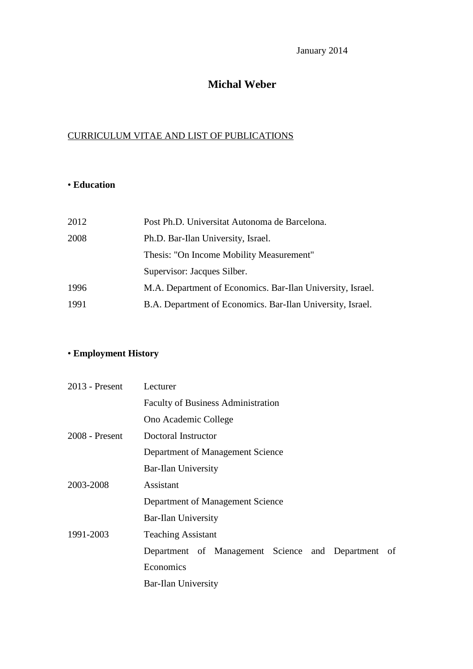January 2014

# **Michal Weber**

## CURRICULUM VITAE AND LIST OF PUBLICATIONS

## • **Education**

| 2012 | Post Ph.D. Universitat Autonoma de Barcelona.              |
|------|------------------------------------------------------------|
| 2008 | Ph.D. Bar-Ilan University, Israel.                         |
|      | Thesis: "On Income Mobility Measurement"                   |
|      | Supervisor: Jacques Silber.                                |
| 1996 | M.A. Department of Economics. Bar-Ilan University, Israel. |
| 1991 | B.A. Department of Economics. Bar-Ilan University, Israel. |

# • **Employment History**

| $2013$ - Present | Lecturer                                              |
|------------------|-------------------------------------------------------|
|                  | <b>Faculty of Business Administration</b>             |
|                  | Ono Academic College                                  |
| 2008 - Present   | Doctoral Instructor                                   |
|                  | Department of Management Science                      |
|                  | Bar-Ilan University                                   |
| 2003-2008        | Assistant                                             |
|                  | Department of Management Science                      |
|                  | Bar-Ilan University                                   |
| 1991-2003        | <b>Teaching Assistant</b>                             |
|                  | Department of Management Science and Department<br>of |
|                  | Economics                                             |
|                  | Bar-Ilan University                                   |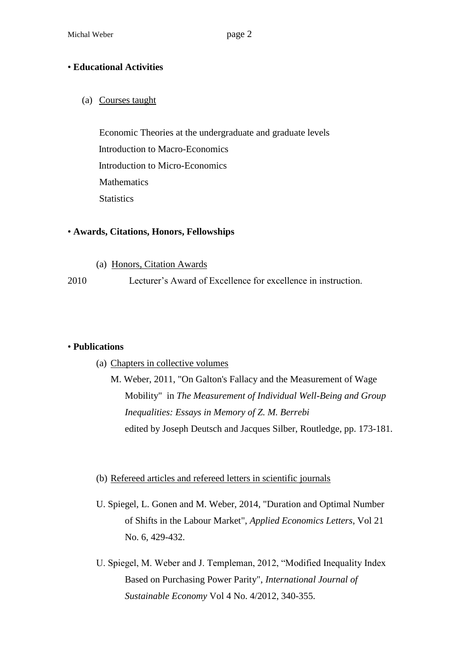### • **Educational Activities**

(a) Courses taught

Economic Theories at the undergraduate and graduate levels Introduction to Macro-Economics Introduction to Micro-Economics **Mathematics Statistics** 

#### • **Awards, Citations, Honors, Fellowships**

(a) Honors, Citation Awards

2010 Lecturer's Award of Excellence for excellence in instruction.

### • **Publications**

(a) Chapters in collective volumes

M. Weber, 2011, "On Galton's Fallacy and the Measurement of Wage Mobility" in *The Measurement of Individual Well-Being and Group Inequalities: Essays in Memory of Z. M. Berrebi* edited by Joseph Deutsch and Jacques Silber, Routledge, pp. 173-181.

### (b) Refereed articles and refereed letters in scientific journals

- U. Spiegel, L. Gonen and M. Weber, 2014, "Duration and Optimal Number of Shifts in the Labour Market", *Applied Economics Letters*, Vol 21 No. 6, 429-432.
- U. Spiegel, M. Weber and J. Templeman, 2012, "Modified Inequality Index Based on Purchasing Power Parity", *International Journal of Sustainable Economy* Vol 4 No. 4/2012, 340-355.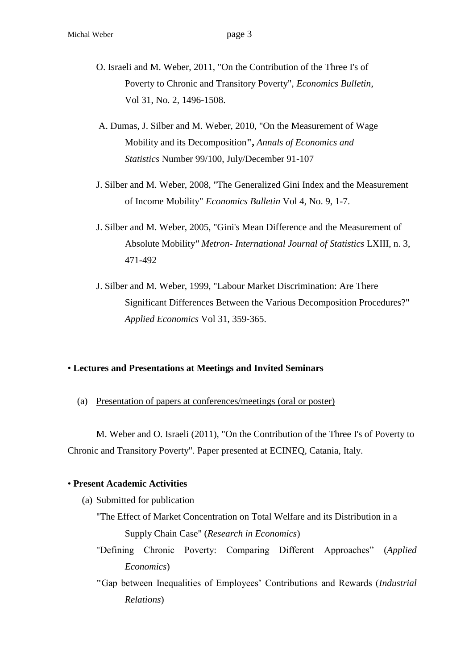- O. Israeli and M. Weber, 2011, "On the Contribution of the Three I's of Poverty to Chronic and Transitory Poverty", *Economics Bulletin*, Vol 31, No. 2, 1496-1508.
- A. Dumas, J. Silber and M. Weber, 2010, "On the Measurement of Wage Mobility and its Decomposition**",** *Annals of Economics and Statistics* Number 99/100, July/December 91-107
- J. Silber and M. Weber, 2008, "The Generalized Gini Index and the Measurement of Income Mobility" *Economics Bulletin* Vol 4, No. 9, 1-7.
- J. Silber and M. Weber, 2005, "Gini's Mean Difference and the Measurement of Absolute Mobility*" Metron- International Journal of Statistics* LXIII, n. 3, 471-492
- J. Silber and M. Weber, 1999, "Labour Market Discrimination: Are There Significant Differences Between the Various Decomposition Procedures?" *Applied Economics* Vol 31, 359-365.

### • **Lectures and Presentations at Meetings and Invited Seminars**

(a) Presentation of papers at conferences/meetings (oral or poster)

M. Weber and O. Israeli (2011), "On the Contribution of the Three I's of Poverty to Chronic and Transitory Poverty". Paper presented at ECINEQ, Catania, Italy.

#### • **Present Academic Activities**

- (a) Submitted for publication
	- "The Effect of Market Concentration on Total Welfare and its Distribution in a Supply Chain Case" (*Research in Economics*)
	- "Defining Chronic Poverty: Comparing Different Approaches" (*Applied Economics*)
	- **"**Gap between Inequalities of Employees' Contributions and Rewards (*Industrial Relations*)